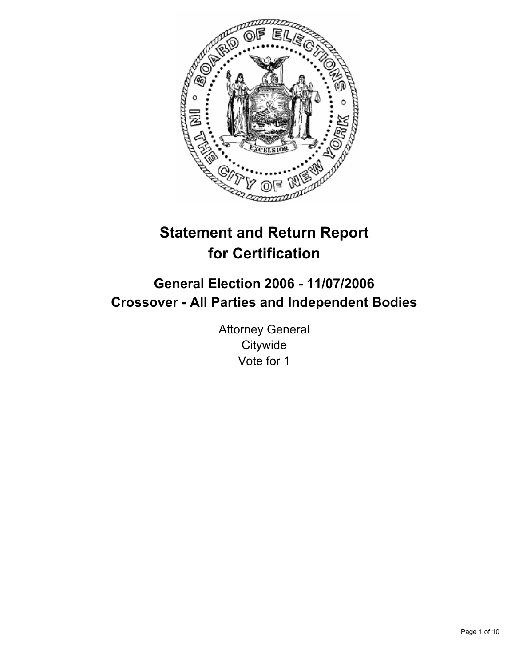

# **Statement and Return Report for Certification**

# **General Election 2006 - 11/07/2006 Crossover - All Parties and Independent Bodies**

Attorney General **Citywide** Vote for 1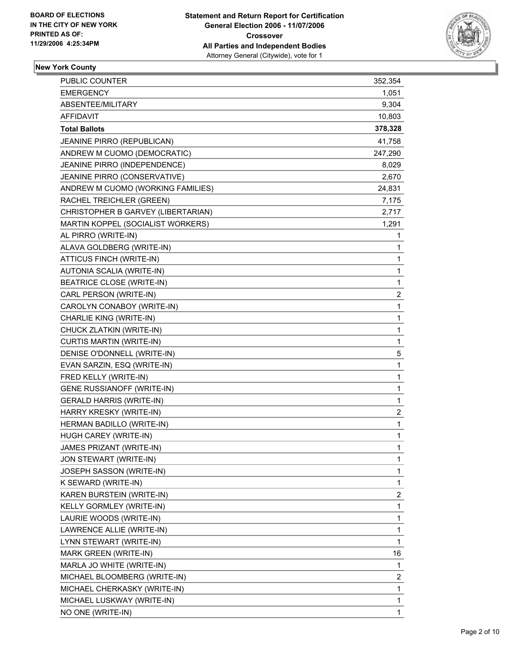

### **New York County**

| PUBLIC COUNTER                     | 352,354                 |
|------------------------------------|-------------------------|
| <b>EMERGENCY</b>                   | 1,051                   |
| ABSENTEE/MILITARY                  | 9,304                   |
| <b>AFFIDAVIT</b>                   | 10,803                  |
| <b>Total Ballots</b>               | 378,328                 |
| JEANINE PIRRO (REPUBLICAN)         | 41,758                  |
| ANDREW M CUOMO (DEMOCRATIC)        | 247,290                 |
| JEANINE PIRRO (INDEPENDENCE)       | 8,029                   |
| JEANINE PIRRO (CONSERVATIVE)       | 2,670                   |
| ANDREW M CUOMO (WORKING FAMILIES)  | 24,831                  |
| RACHEL TREICHLER (GREEN)           | 7,175                   |
| CHRISTOPHER B GARVEY (LIBERTARIAN) | 2,717                   |
| MARTIN KOPPEL (SOCIALIST WORKERS)  | 1,291                   |
| AL PIRRO (WRITE-IN)                | 1                       |
| ALAVA GOLDBERG (WRITE-IN)          | 1                       |
| ATTICUS FINCH (WRITE-IN)           | 1                       |
| AUTONIA SCALIA (WRITE-IN)          | $\mathbf{1}$            |
| BEATRICE CLOSE (WRITE-IN)          | $\mathbf{1}$            |
| CARL PERSON (WRITE-IN)             | $\overline{\mathbf{c}}$ |
| CAROLYN CONABOY (WRITE-IN)         | 1                       |
| CHARLIE KING (WRITE-IN)            | 1                       |
| CHUCK ZLATKIN (WRITE-IN)           | 1                       |
| <b>CURTIS MARTIN (WRITE-IN)</b>    | $\mathbf{1}$            |
| DENISE O'DONNELL (WRITE-IN)        | 5                       |
| EVAN SARZIN, ESQ (WRITE-IN)        | 1                       |
| FRED KELLY (WRITE-IN)              | $\mathbf{1}$            |
| <b>GENE RUSSIANOFF (WRITE-IN)</b>  | $\mathbf{1}$            |
| <b>GERALD HARRIS (WRITE-IN)</b>    | 1                       |
| HARRY KRESKY (WRITE-IN)            | $\overline{c}$          |
| HERMAN BADILLO (WRITE-IN)          | 1                       |
| HUGH CAREY (WRITE-IN)              | 1                       |
| JAMES PRIZANT (WRITE-IN)           | 1                       |
| JON STEWART (WRITE-IN)             | 1                       |
| JOSEPH SASSON (WRITE-IN)           | 1                       |
| K SEWARD (WRITE-IN)                | 1                       |
| KAREN BURSTEIN (WRITE-IN)          | $\overline{\mathbf{c}}$ |
| KELLY GORMLEY (WRITE-IN)           | $\mathbf{1}$            |
| LAURIE WOODS (WRITE-IN)            | 1                       |
| LAWRENCE ALLIE (WRITE-IN)          | 1                       |
| LYNN STEWART (WRITE-IN)            | $\mathbf{1}$            |
| MARK GREEN (WRITE-IN)              | 16                      |
| MARLA JO WHITE (WRITE-IN)          | 1                       |
| MICHAEL BLOOMBERG (WRITE-IN)       | 2                       |
| MICHAEL CHERKASKY (WRITE-IN)       | $\mathbf{1}$            |
| MICHAEL LUSKWAY (WRITE-IN)         | 1                       |
| NO ONE (WRITE-IN)                  | 1                       |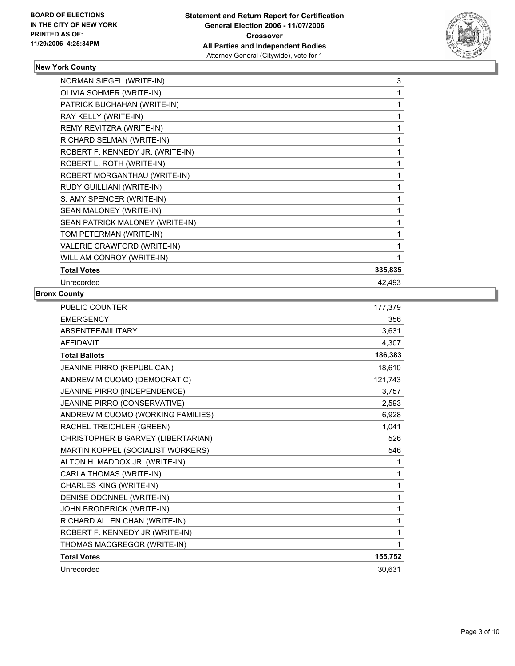

# **New York County**

| NORMAN SIEGEL (WRITE-IN)         | 3       |
|----------------------------------|---------|
| OLIVIA SOHMER (WRITE-IN)         |         |
| PATRICK BUCHAHAN (WRITE-IN)      |         |
| RAY KELLY (WRITE-IN)             |         |
| REMY REVITZRA (WRITE-IN)         |         |
| RICHARD SELMAN (WRITE-IN)        |         |
| ROBERT F. KENNEDY JR. (WRITE-IN) |         |
| ROBERT L. ROTH (WRITE-IN)        |         |
| ROBERT MORGANTHAU (WRITE-IN)     |         |
| RUDY GUILLIANI (WRITE-IN)        |         |
| S. AMY SPENCER (WRITE-IN)        |         |
| SEAN MALONEY (WRITE-IN)          |         |
| SEAN PATRICK MALONEY (WRITE-IN)  |         |
| TOM PETERMAN (WRITE-IN)          |         |
| VALERIE CRAWFORD (WRITE-IN)      |         |
| WILLIAM CONROY (WRITE-IN)        |         |
| <b>Total Votes</b>               | 335,835 |
| Unrecorded                       | 42,493  |

#### **Bronx County**

| <b>PUBLIC COUNTER</b>              | 177,379 |
|------------------------------------|---------|
| <b>EMERGENCY</b>                   | 356     |
| ABSENTEE/MILITARY                  | 3,631   |
| <b>AFFIDAVIT</b>                   | 4,307   |
| <b>Total Ballots</b>               | 186,383 |
| JEANINE PIRRO (REPUBLICAN)         | 18,610  |
| ANDREW M CUOMO (DEMOCRATIC)        | 121,743 |
| JEANINE PIRRO (INDEPENDENCE)       | 3,757   |
| JEANINE PIRRO (CONSERVATIVE)       | 2,593   |
| ANDREW M CUOMO (WORKING FAMILIES)  | 6,928   |
| RACHEL TREICHLER (GREEN)           | 1.041   |
| CHRISTOPHER B GARVEY (LIBERTARIAN) | 526     |
| MARTIN KOPPEL (SOCIALIST WORKERS)  | 546     |
| ALTON H. MADDOX JR. (WRITE-IN)     | 1       |
| CARLA THOMAS (WRITE-IN)            | 1       |
| CHARLES KING (WRITE-IN)            | 1       |
| DENISE ODONNEL (WRITE-IN)          | 1       |
| JOHN BRODERICK (WRITE-IN)          | 1       |
| RICHARD ALLEN CHAN (WRITE-IN)      | 1       |
| ROBERT F. KENNEDY JR (WRITE-IN)    | 1       |
| THOMAS MACGREGOR (WRITE-IN)        | 1       |
| <b>Total Votes</b>                 | 155,752 |
| Unrecorded                         | 30,631  |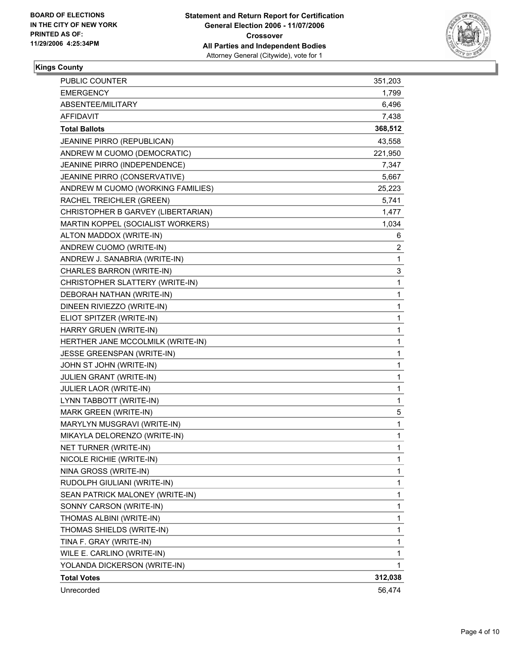

### **Kings County**

| PUBLIC COUNTER                     | 351,203                 |
|------------------------------------|-------------------------|
| <b>EMERGENCY</b>                   | 1,799                   |
| ABSENTEE/MILITARY                  | 6,496                   |
| <b>AFFIDAVIT</b>                   | 7,438                   |
| <b>Total Ballots</b>               | 368,512                 |
| JEANINE PIRRO (REPUBLICAN)         | 43,558                  |
| ANDREW M CUOMO (DEMOCRATIC)        | 221,950                 |
| JEANINE PIRRO (INDEPENDENCE)       | 7,347                   |
| JEANINE PIRRO (CONSERVATIVE)       | 5,667                   |
| ANDREW M CUOMO (WORKING FAMILIES)  | 25,223                  |
| RACHEL TREICHLER (GREEN)           | 5,741                   |
| CHRISTOPHER B GARVEY (LIBERTARIAN) | 1,477                   |
| MARTIN KOPPEL (SOCIALIST WORKERS)  | 1,034                   |
| ALTON MADDOX (WRITE-IN)            | 6                       |
| ANDREW CUOMO (WRITE-IN)            | $\overline{\mathbf{c}}$ |
| ANDREW J. SANABRIA (WRITE-IN)      | $\mathbf{1}$            |
| CHARLES BARRON (WRITE-IN)          | 3                       |
| CHRISTOPHER SLATTERY (WRITE-IN)    | $\mathbf{1}$            |
| DEBORAH NATHAN (WRITE-IN)          | 1                       |
| DINEEN RIVIEZZO (WRITE-IN)         | 1                       |
| ELIOT SPITZER (WRITE-IN)           | 1                       |
| HARRY GRUEN (WRITE-IN)             | 1                       |
| HERTHER JANE MCCOLMILK (WRITE-IN)  | 1                       |
| <b>JESSE GREENSPAN (WRITE-IN)</b>  | 1                       |
| JOHN ST JOHN (WRITE-IN)            | 1                       |
| JULIEN GRANT (WRITE-IN)            | 1                       |
| <b>JULIER LAOR (WRITE-IN)</b>      | 1                       |
| LYNN TABBOTT (WRITE-IN)            | 1                       |
| MARK GREEN (WRITE-IN)              | 5                       |
| MARYLYN MUSGRAVI (WRITE-IN)        | 1                       |
| MIKAYLA DELORENZO (WRITE-IN)       | 1                       |
| NET TURNER (WRITE-IN)              | 1                       |
| NICOLE RICHIE (WRITE-IN)           | 1                       |
| NINA GROSS (WRITE-IN)              | 1                       |
| RUDOLPH GIULIANI (WRITE-IN)        | 1                       |
| SEAN PATRICK MALONEY (WRITE-IN)    | 1                       |
| SONNY CARSON (WRITE-IN)            | 1                       |
| THOMAS ALBINI (WRITE-IN)           | 1                       |
| THOMAS SHIELDS (WRITE-IN)          | 1                       |
| TINA F. GRAY (WRITE-IN)            | 1                       |
| WILE E. CARLINO (WRITE-IN)         | 1                       |
| YOLANDA DICKERSON (WRITE-IN)       | 1                       |
| <b>Total Votes</b>                 | 312,038                 |
| Unrecorded                         | 56,474                  |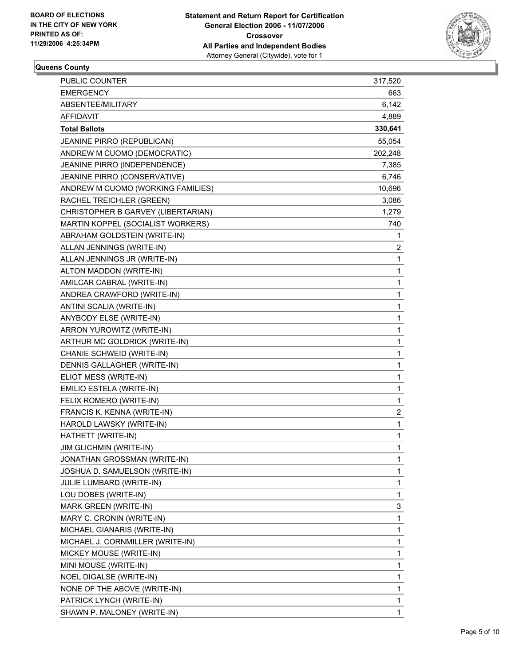

# **Queens County**

| <b>PUBLIC COUNTER</b>              | 317,520                 |
|------------------------------------|-------------------------|
| <b>EMERGENCY</b>                   | 663                     |
| ABSENTEE/MILITARY                  | 6,142                   |
| AFFIDAVIT                          | 4,889                   |
| <b>Total Ballots</b>               | 330,641                 |
| JEANINE PIRRO (REPUBLICAN)         | 55,054                  |
| ANDREW M CUOMO (DEMOCRATIC)        | 202,248                 |
| JEANINE PIRRO (INDEPENDENCE)       | 7,385                   |
| JEANINE PIRRO (CONSERVATIVE)       | 6,746                   |
| ANDREW M CUOMO (WORKING FAMILIES)  | 10,696                  |
| RACHEL TREICHLER (GREEN)           | 3,086                   |
| CHRISTOPHER B GARVEY (LIBERTARIAN) | 1,279                   |
| MARTIN KOPPEL (SOCIALIST WORKERS)  | 740                     |
| ABRAHAM GOLDSTEIN (WRITE-IN)       | 1                       |
| ALLAN JENNINGS (WRITE-IN)          | 2                       |
| ALLAN JENNINGS JR (WRITE-IN)       | $\mathbf{1}$            |
| ALTON MADDON (WRITE-IN)            | 1                       |
| AMILCAR CABRAL (WRITE-IN)          | 1                       |
| ANDREA CRAWFORD (WRITE-IN)         | 1                       |
| ANTINI SCALIA (WRITE-IN)           | 1                       |
| ANYBODY ELSE (WRITE-IN)            | 1                       |
| ARRON YUROWITZ (WRITE-IN)          | 1                       |
| ARTHUR MC GOLDRICK (WRITE-IN)      | 1                       |
| CHANIE SCHWEID (WRITE-IN)          | 1                       |
| DENNIS GALLAGHER (WRITE-IN)        | 1                       |
| ELIOT MESS (WRITE-IN)              | 1                       |
| EMILIO ESTELA (WRITE-IN)           | 1                       |
| FELIX ROMERO (WRITE-IN)            | $\mathbf{1}$            |
| FRANCIS K. KENNA (WRITE-IN)        | $\overline{\mathbf{c}}$ |
| HAROLD LAWSKY (WRITE-IN)           | 1                       |
| HATHETT (WRITE-IN)                 | 1                       |
| JIM GLICHMIN (WRITE-IN)            | 1                       |
| JONATHAN GROSSMAN (WRITE-IN)       | 1                       |
| JOSHUA D. SAMUELSON (WRITE-IN)     | 1                       |
| JULIE LUMBARD (WRITE-IN)           | 1                       |
| LOU DOBES (WRITE-IN)               | 1                       |
| MARK GREEN (WRITE-IN)              | 3                       |
| MARY C. CRONIN (WRITE-IN)          | 1                       |
| MICHAEL GIANARIS (WRITE-IN)        | 1                       |
| MICHAEL J. CORNMILLER (WRITE-IN)   | 1                       |
| MICKEY MOUSE (WRITE-IN)            | 1                       |
| MINI MOUSE (WRITE-IN)              | 1                       |
| NOEL DIGALSE (WRITE-IN)            | 1                       |
| NONE OF THE ABOVE (WRITE-IN)       | 1                       |
| PATRICK LYNCH (WRITE-IN)           | 1                       |
| SHAWN P. MALONEY (WRITE-IN)        | 1                       |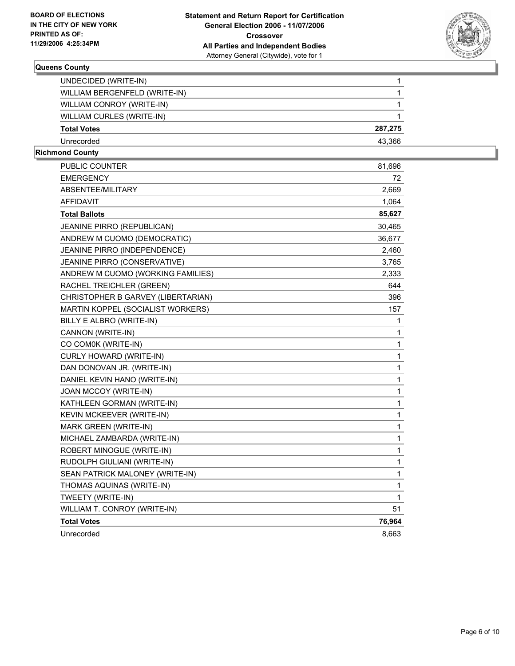

#### **Queens County**

| Unrecorded                    | 43.366  |
|-------------------------------|---------|
| <b>Total Votes</b>            | 287,275 |
| WILLIAM CURLES (WRITE-IN)     |         |
| WILLIAM CONROY (WRITE-IN)     |         |
| WILLIAM BERGENFELD (WRITE-IN) |         |
| UNDECIDED (WRITE-IN)          |         |

# **Richmond County**

| PUBLIC COUNTER                     | 81,696 |
|------------------------------------|--------|
| <b>EMERGENCY</b>                   | 72     |
| ABSENTEE/MILITARY                  | 2,669  |
| <b>AFFIDAVIT</b>                   | 1,064  |
| <b>Total Ballots</b>               | 85,627 |
| JEANINE PIRRO (REPUBLICAN)         | 30,465 |
| ANDREW M CUOMO (DEMOCRATIC)        | 36,677 |
| JEANINE PIRRO (INDEPENDENCE)       | 2,460  |
| JEANINE PIRRO (CONSERVATIVE)       | 3,765  |
| ANDREW M CUOMO (WORKING FAMILIES)  | 2,333  |
| RACHEL TREICHLER (GREEN)           | 644    |
| CHRISTOPHER B GARVEY (LIBERTARIAN) | 396    |
| MARTIN KOPPEL (SOCIALIST WORKERS)  | 157    |
| BILLY E ALBRO (WRITE-IN)           | 1      |
| CANNON (WRITE-IN)                  | 1      |
| CO COM0K (WRITE-IN)                | 1      |
| <b>CURLY HOWARD (WRITE-IN)</b>     | 1      |
| DAN DONOVAN JR. (WRITE-IN)         | 1      |
| DANIEL KEVIN HANO (WRITE-IN)       | 1      |
| JOAN MCCOY (WRITE-IN)              | 1      |
| KATHLEEN GORMAN (WRITE-IN)         | 1      |
| KEVIN MCKEEVER (WRITE-IN)          | 1      |
| <b>MARK GREEN (WRITE-IN)</b>       | 1      |
| MICHAEL ZAMBARDA (WRITE-IN)        | 1      |
| ROBERT MINOGUE (WRITE-IN)          | 1      |
| RUDOLPH GIULIANI (WRITE-IN)        | 1      |
| SEAN PATRICK MALONEY (WRITE-IN)    | 1      |
| THOMAS AQUINAS (WRITE-IN)          | 1      |
| TWEETY (WRITE-IN)                  | 1      |
| WILLIAM T. CONROY (WRITE-IN)       | 51     |
| <b>Total Votes</b>                 | 76,964 |
| Unrecorded                         | 8,663  |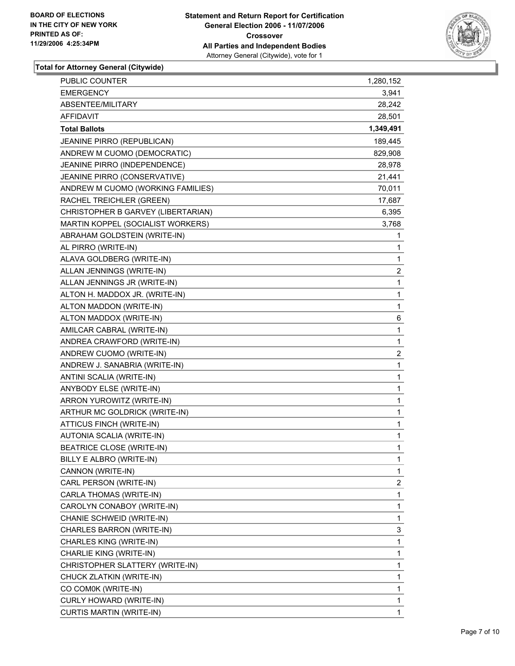

| PUBLIC COUNTER                     | 1,280,152               |
|------------------------------------|-------------------------|
| <b>EMERGENCY</b>                   | 3,941                   |
| ABSENTEE/MILITARY                  | 28,242                  |
| AFFIDAVIT                          | 28,501                  |
| <b>Total Ballots</b>               | 1,349,491               |
| JEANINE PIRRO (REPUBLICAN)         | 189,445                 |
| ANDREW M CUOMO (DEMOCRATIC)        | 829,908                 |
| JEANINE PIRRO (INDEPENDENCE)       | 28,978                  |
| JEANINE PIRRO (CONSERVATIVE)       | 21,441                  |
| ANDREW M CUOMO (WORKING FAMILIES)  | 70,011                  |
| RACHEL TREICHLER (GREEN)           | 17,687                  |
| CHRISTOPHER B GARVEY (LIBERTARIAN) | 6,395                   |
| MARTIN KOPPEL (SOCIALIST WORKERS)  | 3,768                   |
| ABRAHAM GOLDSTEIN (WRITE-IN)       | $\mathbf 1$             |
| AL PIRRO (WRITE-IN)                | 1                       |
| ALAVA GOLDBERG (WRITE-IN)          | 1                       |
| ALLAN JENNINGS (WRITE-IN)          | $\overline{\mathbf{c}}$ |
| ALLAN JENNINGS JR (WRITE-IN)       | 1                       |
| ALTON H. MADDOX JR. (WRITE-IN)     | 1                       |
| ALTON MADDON (WRITE-IN)            | $\mathbf{1}$            |
| ALTON MADDOX (WRITE-IN)            | 6                       |
| AMILCAR CABRAL (WRITE-IN)          | 1                       |
| ANDREA CRAWFORD (WRITE-IN)         | $\mathbf 1$             |
| ANDREW CUOMO (WRITE-IN)            | $\boldsymbol{2}$        |
| ANDREW J. SANABRIA (WRITE-IN)      | 1                       |
| ANTINI SCALIA (WRITE-IN)           | $\mathbf 1$             |
| ANYBODY ELSE (WRITE-IN)            | 1                       |
| ARRON YUROWITZ (WRITE-IN)          | 1                       |
| ARTHUR MC GOLDRICK (WRITE-IN)      | $\mathbf 1$             |
| ATTICUS FINCH (WRITE-IN)           | 1                       |
| AUTONIA SCALIA (WRITE-IN)          | 1                       |
| <b>BEATRICE CLOSE (WRITE-IN)</b>   | 1                       |
| BILLY E ALBRO (WRITE-IN)           | 1                       |
| CANNON (WRITE-IN)                  | 1                       |
| CARL PERSON (WRITE-IN)             | $\overline{c}$          |
| CARLA THOMAS (WRITE-IN)            | 1                       |
| CAROLYN CONABOY (WRITE-IN)         | 1                       |
| CHANIE SCHWEID (WRITE-IN)          | $\mathbf{1}$            |
| CHARLES BARRON (WRITE-IN)          | 3                       |
| CHARLES KING (WRITE-IN)            | 1                       |
| CHARLIE KING (WRITE-IN)            | 1                       |
| CHRISTOPHER SLATTERY (WRITE-IN)    | 1                       |
| CHUCK ZLATKIN (WRITE-IN)           | 1                       |
| CO COM0K (WRITE-IN)                | 1                       |
| CURLY HOWARD (WRITE-IN)            | 1                       |
| CURTIS MARTIN (WRITE-IN)           | 1                       |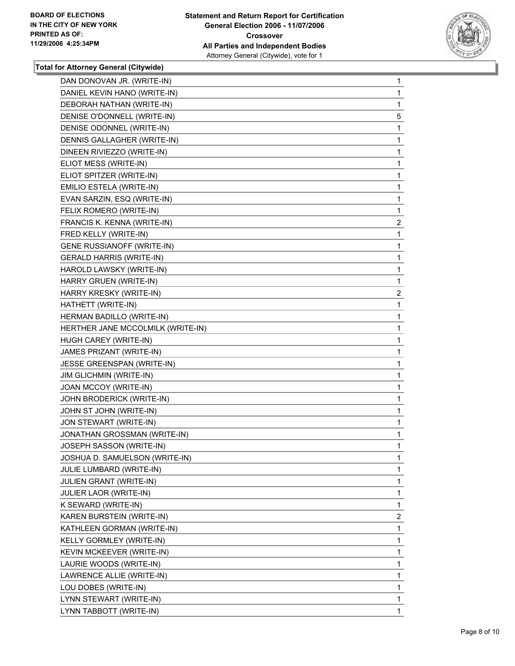

| DAN DONOVAN JR. (WRITE-IN)        | $\mathbf 1$             |
|-----------------------------------|-------------------------|
| DANIEL KEVIN HANO (WRITE-IN)      | 1                       |
| DEBORAH NATHAN (WRITE-IN)         | 1                       |
| DENISE O'DONNELL (WRITE-IN)       | 5                       |
| DENISE ODONNEL (WRITE-IN)         | $\mathbf 1$             |
| DENNIS GALLAGHER (WRITE-IN)       | 1                       |
| DINEEN RIVIEZZO (WRITE-IN)        | 1                       |
| ELIOT MESS (WRITE-IN)             | 1                       |
| ELIOT SPITZER (WRITE-IN)          | 1                       |
| EMILIO ESTELA (WRITE-IN)          | 1                       |
| EVAN SARZIN, ESQ (WRITE-IN)       | 1                       |
| FELIX ROMERO (WRITE-IN)           | 1                       |
| FRANCIS K. KENNA (WRITE-IN)       | $\overline{2}$          |
| FRED KELLY (WRITE-IN)             | 1                       |
| <b>GENE RUSSIANOFF (WRITE-IN)</b> | 1                       |
| <b>GERALD HARRIS (WRITE-IN)</b>   | 1                       |
| HAROLD LAWSKY (WRITE-IN)          | $\mathbf{1}$            |
| HARRY GRUEN (WRITE-IN)            | 1                       |
| HARRY KRESKY (WRITE-IN)           | $\overline{\mathbf{c}}$ |
| HATHETT (WRITE-IN)                | $\mathbf{1}$            |
| HERMAN BADILLO (WRITE-IN)         | 1                       |
| HERTHER JANE MCCOLMILK (WRITE-IN) | 1                       |
| HUGH CAREY (WRITE-IN)             | 1                       |
| JAMES PRIZANT (WRITE-IN)          | 1                       |
| JESSE GREENSPAN (WRITE-IN)        | 1                       |
| JIM GLICHMIN (WRITE-IN)           | 1                       |
| JOAN MCCOY (WRITE-IN)             | 1                       |
| JOHN BRODERICK (WRITE-IN)         | 1                       |
| JOHN ST JOHN (WRITE-IN)           | 1                       |
| JON STEWART (WRITE-IN)            | 1                       |
| JONATHAN GROSSMAN (WRITE-IN)      | 1                       |
| JOSEPH SASSON (WRITE-IN)          | 1                       |
| JOSHUA D. SAMUELSON (WRITE-IN)    | $\mathbf{1}$            |
| JULIE LUMBARD (WRITE-IN)          | 1                       |
| JULIEN GRANT (WRITE-IN)           | 1                       |
| <b>JULIER LAOR (WRITE-IN)</b>     | 1                       |
| K SEWARD (WRITE-IN)               | $\mathbf{1}$            |
| KAREN BURSTEIN (WRITE-IN)         | $\overline{2}$          |
| KATHLEEN GORMAN (WRITE-IN)        | 1                       |
| KELLY GORMLEY (WRITE-IN)          | $\mathbf 1$             |
| KEVIN MCKEEVER (WRITE-IN)         | 1                       |
| LAURIE WOODS (WRITE-IN)           | 1                       |
| LAWRENCE ALLIE (WRITE-IN)         | 1                       |
| LOU DOBES (WRITE-IN)              | $\mathbf{1}$            |
| LYNN STEWART (WRITE-IN)           | 1                       |
| LYNN TABBOTT (WRITE-IN)           | 1                       |
|                                   |                         |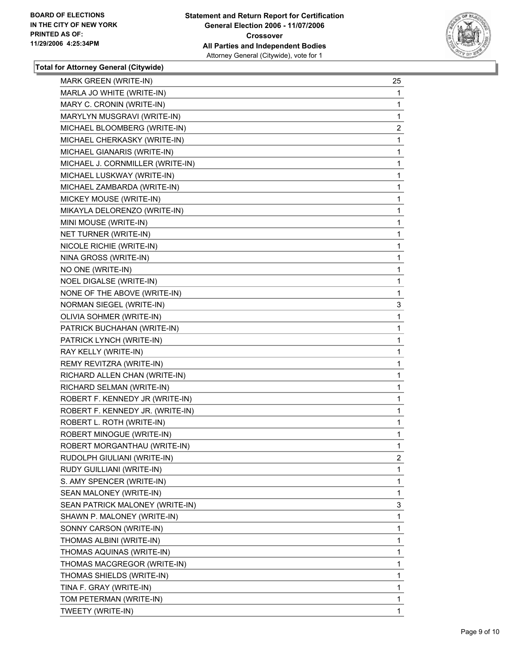

| <b>MARK GREEN (WRITE-IN)</b>     | 25                      |
|----------------------------------|-------------------------|
| MARLA JO WHITE (WRITE-IN)        | 1                       |
| MARY C. CRONIN (WRITE-IN)        | 1                       |
| MARYLYN MUSGRAVI (WRITE-IN)      | 1                       |
| MICHAEL BLOOMBERG (WRITE-IN)     | 2                       |
| MICHAEL CHERKASKY (WRITE-IN)     | 1                       |
| MICHAEL GIANARIS (WRITE-IN)      | 1                       |
| MICHAEL J. CORNMILLER (WRITE-IN) | 1                       |
| MICHAEL LUSKWAY (WRITE-IN)       | 1                       |
| MICHAEL ZAMBARDA (WRITE-IN)      | 1                       |
| MICKEY MOUSE (WRITE-IN)          | 1                       |
| MIKAYLA DELORENZO (WRITE-IN)     | 1                       |
| MINI MOUSE (WRITE-IN)            | 1                       |
| NET TURNER (WRITE-IN)            | 1                       |
| NICOLE RICHIE (WRITE-IN)         | 1                       |
| NINA GROSS (WRITE-IN)            | 1                       |
| NO ONE (WRITE-IN)                | 1                       |
| NOEL DIGALSE (WRITE-IN)          | 1                       |
| NONE OF THE ABOVE (WRITE-IN)     | 1                       |
| NORMAN SIEGEL (WRITE-IN)         | 3                       |
| OLIVIA SOHMER (WRITE-IN)         | 1                       |
| PATRICK BUCHAHAN (WRITE-IN)      | 1                       |
| PATRICK LYNCH (WRITE-IN)         | 1                       |
| RAY KELLY (WRITE-IN)             | 1                       |
| REMY REVITZRA (WRITE-IN)         | 1                       |
| RICHARD ALLEN CHAN (WRITE-IN)    | 1                       |
| RICHARD SELMAN (WRITE-IN)        | 1                       |
| ROBERT F. KENNEDY JR (WRITE-IN)  | 1                       |
| ROBERT F. KENNEDY JR. (WRITE-IN) | 1                       |
| ROBERT L. ROTH (WRITE-IN)        | 1                       |
| ROBERT MINOGUE (WRITE-IN)        | 1                       |
| ROBERT MORGANTHAU (WRITE-IN)     | 1                       |
| RUDOLPH GIULIANI (WRITE-IN)      | $\overline{\mathbf{c}}$ |
| RUDY GUILLIANI (WRITE-IN)        | 1                       |
| S. AMY SPENCER (WRITE-IN)        | 1                       |
| SEAN MALONEY (WRITE-IN)          | 1                       |
| SEAN PATRICK MALONEY (WRITE-IN)  | 3                       |
| SHAWN P. MALONEY (WRITE-IN)      | 1                       |
| SONNY CARSON (WRITE-IN)          | 1                       |
| THOMAS ALBINI (WRITE-IN)         | 1                       |
| THOMAS AQUINAS (WRITE-IN)        | 1                       |
| THOMAS MACGREGOR (WRITE-IN)      | 1                       |
| THOMAS SHIELDS (WRITE-IN)        | 1                       |
| TINA F. GRAY (WRITE-IN)          | 1                       |
| TOM PETERMAN (WRITE-IN)          | 1                       |
| TWEETY (WRITE-IN)                | 1                       |